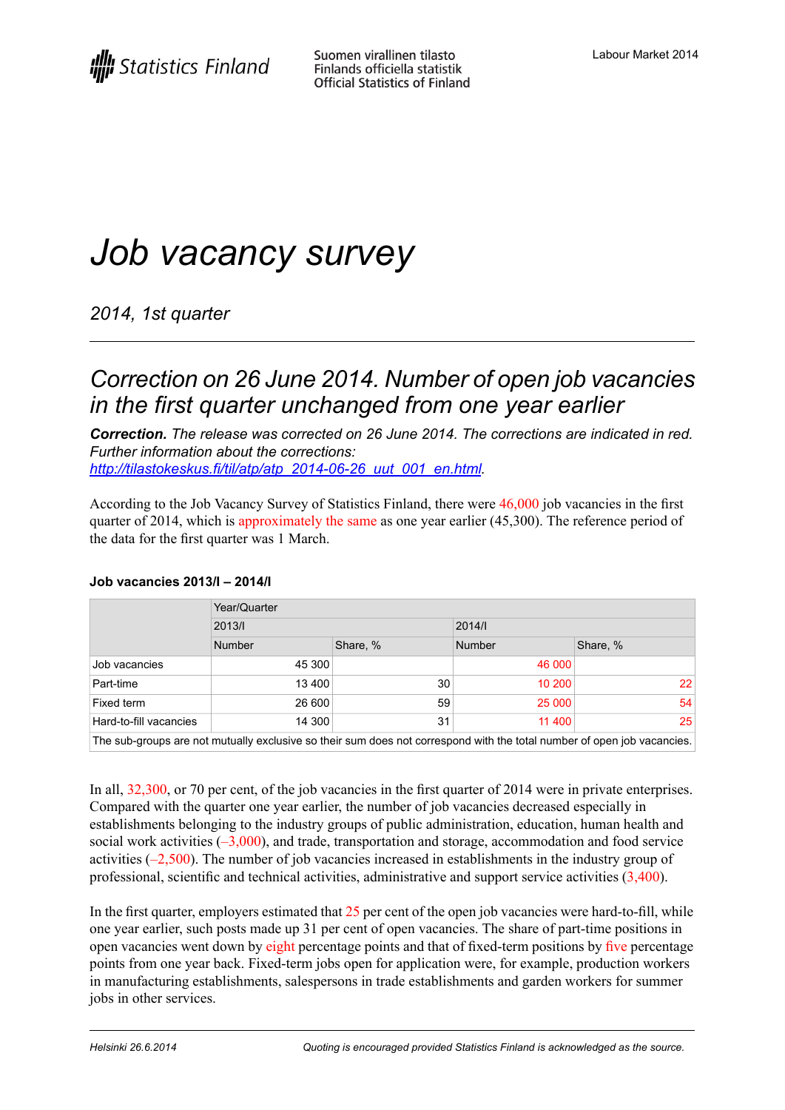# *Job vacancy survey*

*2014, 1st quarter*

### *Correction on 26 June 2014. Number of open job vacancies in the first quarter unchanged from one year earlier*

*Correction. The release was corrected on 26 June 2014. The corrections are indicated in red. Further information about the corrections: [http://tilastokeskus.fi/til/atp/atp\\_2014-06-26\\_uut\\_001\\_en.html.](http://tilastokeskus.fi/til/atp/atp_2014-06-26_uut_001_en.html)*

According to the Job Vacancy Survey of Statistics Finland, there were 46,000 job vacancies in the first quarter of 2014, which is approximately the same as one year earlier (45,300). The reference period of the data for the first quarter was 1 March.

|                                                                                                                         | Year/Quarter  |          |               |          |
|-------------------------------------------------------------------------------------------------------------------------|---------------|----------|---------------|----------|
|                                                                                                                         | 2013/1        |          | 2014/1        |          |
|                                                                                                                         | <b>Number</b> | Share, % | <b>Number</b> | Share, % |
| Job vacancies                                                                                                           | 45 300        |          | 46 000        |          |
| Part-time                                                                                                               | 13 400        | 30       | 10 200        | 22       |
| Fixed term                                                                                                              | 26 600        | 59       | 25 000        | 54       |
| Hard-to-fill vacancies                                                                                                  | 14 300        | 31       | 11 400        | 25       |
| The sub-groups are not mutually exclusive so their sum does not correspond with the total number of open job vacancies. |               |          |               |          |

#### **Job vacancies 2013/I – 2014/I**

In all,  $32,300$ , or 70 per cent, of the job vacancies in the first quarter of 2014 were in private enterprises. Compared with the quarter one year earlier, the number of job vacancies decreased especially in establishments belonging to the industry groups of public administration, education, human health and social work activities  $(-3,000)$ , and trade, transportation and storage, accommodation and food service activities (–2,500). The number of job vacancies increased in establishments in the industry group of professional, scientific and technical activities, administrative and support service activities (3,400).

In the first quarter, employers estimated that 25 per cent of the open job vacancies were hard-to-fill, while one year earlier, such posts made up 31 per cent of open vacancies. The share of part-time positions in open vacancies went down by eight percentage points and that of fixed-term positions by five percentage points from one year back. Fixed-term jobs open for application were, for example, production workers in manufacturing establishments, salespersons in trade establishments and garden workers for summer jobs in other services.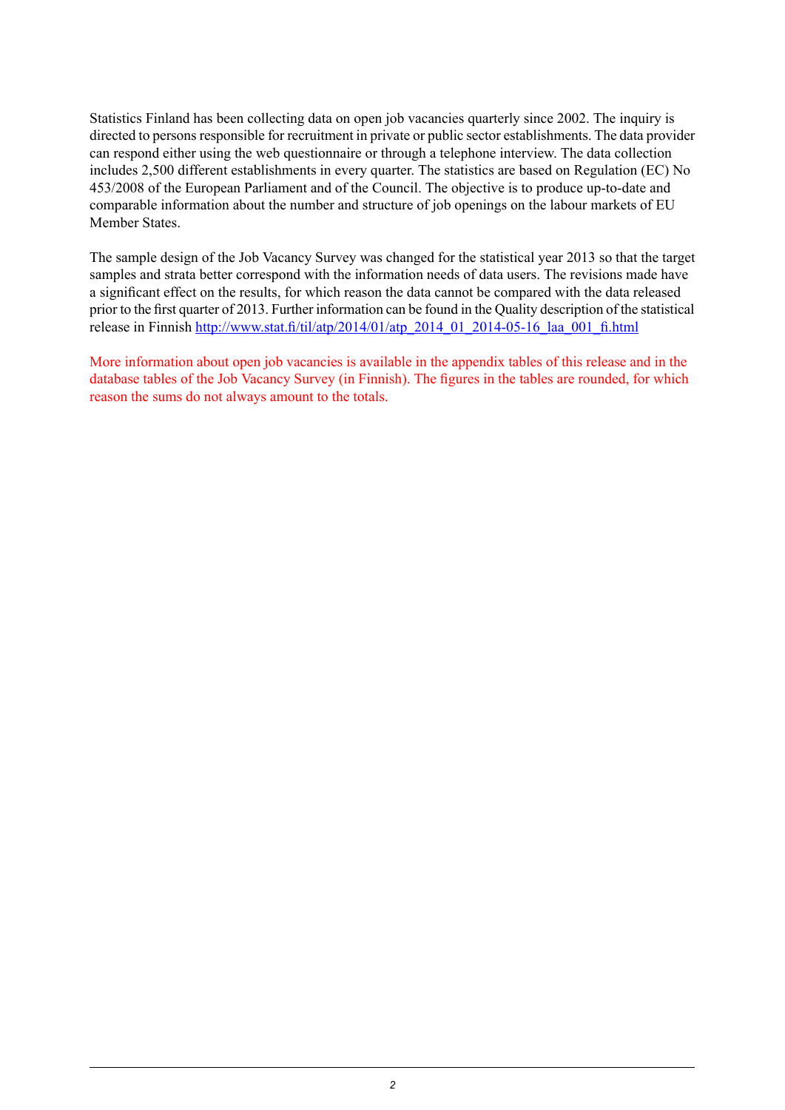Statistics Finland has been collecting data on open job vacancies quarterly since 2002. The inquiry is directed to persons responsible for recruitment in private or public sector establishments. The data provider can respond either using the web questionnaire or through a telephone interview. The data collection includes 2,500 different establishments in every quarter. The statistics are based on Regulation (EC) No 453/2008 of the European Parliament and of the Council. The objective is to produce up-to-date and comparable information about the number and structure of job openings on the labour markets of EU Member States.

The sample design of the Job Vacancy Survey was changed for the statistical year 2013 so that the target samples and strata better correspond with the information needs of data users. The revisions made have a significant effect on the results, for which reason the data cannot be compared with the data released prior to the first quarter of 2013. Further information can be found in the Quality description of the statistical release in Finnish [http://www.stat.fi/til/atp/2014/01/atp\\_2014\\_01\\_2014-05-16\\_laa\\_001\\_fi.html](http://www.stat.fi/til/atp/2014/01/atp_2014_01_2014-05-16_laa_001_fi.html)

More information about open job vacancies is available in the appendix tables of this release and in the database tables of the Job Vacancy Survey (in Finnish). The figures in the tables are rounded, for which reason the sums do not always amount to the totals.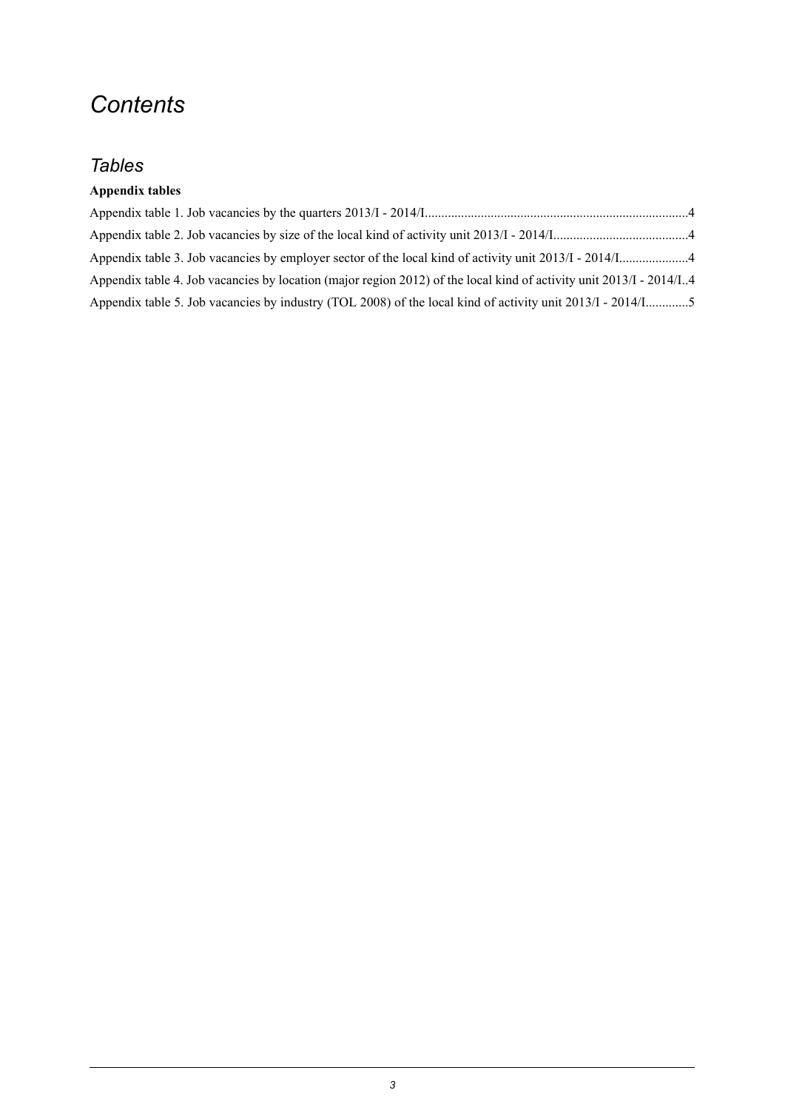## *Contents*

### *Tables*

### **Appendix tables**

| Appendix table 4. Job vacancies by location (major region 2012) of the local kind of activity unit 2013/I - 2014/I4 |  |
|---------------------------------------------------------------------------------------------------------------------|--|
| Appendix table 5. Job vacancies by industry (TOL 2008) of the local kind of activity unit 2013/I - 2014/I5          |  |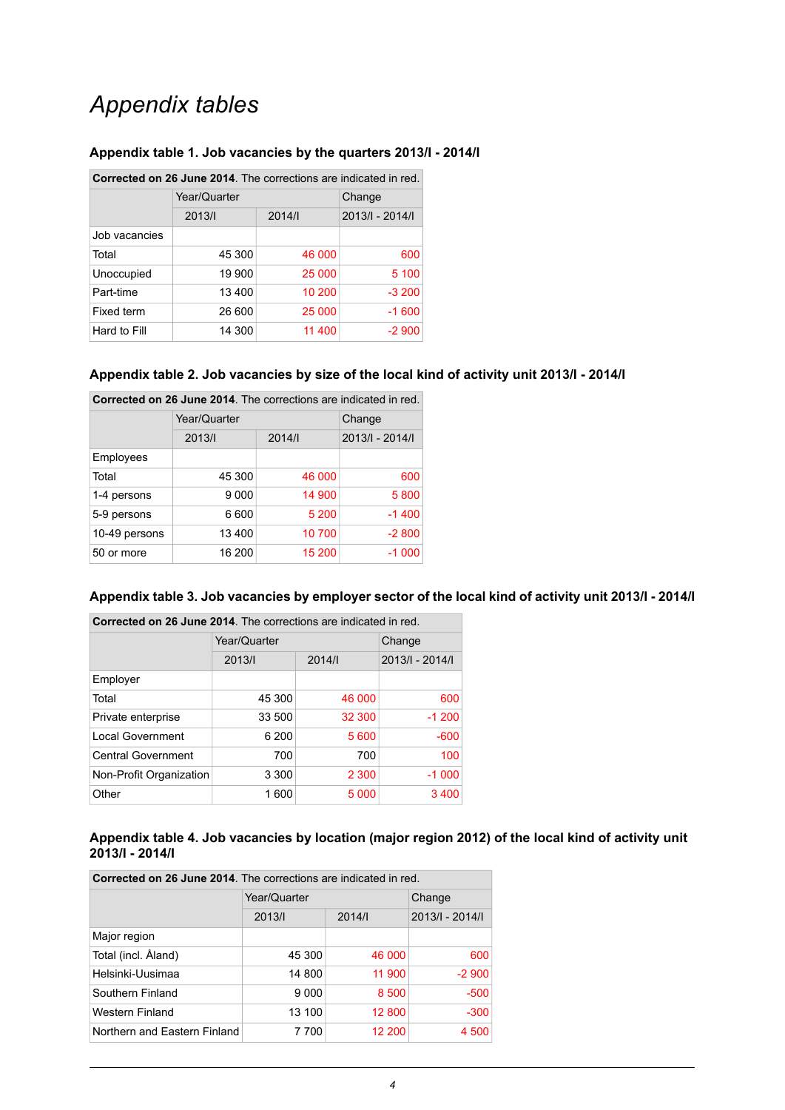## *Appendix tables*

| Corrected on 26 June 2014. The corrections are indicated in red. |              |        |                 |  |
|------------------------------------------------------------------|--------------|--------|-----------------|--|
|                                                                  | Year/Quarter |        | Change          |  |
|                                                                  | 2013/1       | 2014/  | 2013/1 - 2014/1 |  |
| Job vacancies                                                    |              |        |                 |  |
| Total                                                            | 45 300       | 46 000 | 600             |  |
| Unoccupied                                                       | 19 900       | 25 000 | 5 100           |  |
| Part-time                                                        | 13 400       | 10 200 | $-3200$         |  |
| Fixed term                                                       | 26 600       | 25 000 | $-1600$         |  |
| Hard to Fill                                                     | 14 300       | 11 400 | $-2900$         |  |

#### <span id="page-3-0"></span>**Appendix table 1. Job vacancies by the quarters 2013/I - 2014/I**

#### <span id="page-3-1"></span>**Appendix table 2. Job vacancies by size of the local kind of activity unit 2013/I - 2014/I**

| Corrected on 26 June 2014. The corrections are indicated in red. |              |        |                 |
|------------------------------------------------------------------|--------------|--------|-----------------|
|                                                                  | Year/Quarter | Change |                 |
|                                                                  | 2013/1       | 2014/  | 2013/1 - 2014/1 |
| Employees                                                        |              |        |                 |
| Total                                                            | 45 300       | 46 000 | 600             |
| 1-4 persons                                                      | 9 0 0 0      | 14 900 | 5800            |
| 5-9 persons                                                      | 6 600        | 5 200  | $-1400$         |
| 10-49 persons                                                    | 13 400       | 10 700 | $-2800$         |
| 50 or more                                                       | 16 200       | 15 200 | $-1000$         |

#### <span id="page-3-2"></span>Appendix table 3. Job vacancies by employer sector of the local kind of activity unit 2013/I - 2014/I

| Corrected on 26 June 2014. The corrections are indicated in red. |              |         |                 |
|------------------------------------------------------------------|--------------|---------|-----------------|
|                                                                  | Year/Quarter | Change  |                 |
|                                                                  | 2013/        | 2014/1  | 2013/1 - 2014/1 |
| Employer                                                         |              |         |                 |
| Total                                                            | 45 300       | 46 000  | 600             |
| Private enterprise                                               | 33 500       | 32 300  | $-1200$         |
| <b>Local Government</b>                                          | 6 200        | 5 600   | $-600$          |
| <b>Central Government</b>                                        | 700          | 700     | 100             |
| Non-Profit Organization                                          | 3 3 0 0      | 2 3 0 0 | $-1000$         |
| Other                                                            | 1600         | 5 0 0 0 | 3 4 0 0         |

#### <span id="page-3-3"></span>**Appendix table 4. Job vacancies by location (major region 2012) of the local kind of activity unit 2013/I - 2014/I**

| <b>Corrected on 26 June 2014.</b> The corrections are indicated in red. |              |        |                 |
|-------------------------------------------------------------------------|--------------|--------|-----------------|
|                                                                         | Year/Quarter | Change |                 |
|                                                                         | 2013/        | 2014/  | 2013/1 - 2014/1 |
| Major region                                                            |              |        |                 |
| Total (incl. Åland)                                                     | 45 300       | 46 000 | 600             |
| Helsinki-Uusimaa                                                        | 14 800       | 11 900 | $-2900$         |
| Southern Finland                                                        | 9 0 0 0      | 8 500  | $-500$          |
| Western Finland                                                         | 13 100       | 12 800 | $-300$          |
| Northern and Eastern Finland                                            | 7700         | 12 200 | 4 500           |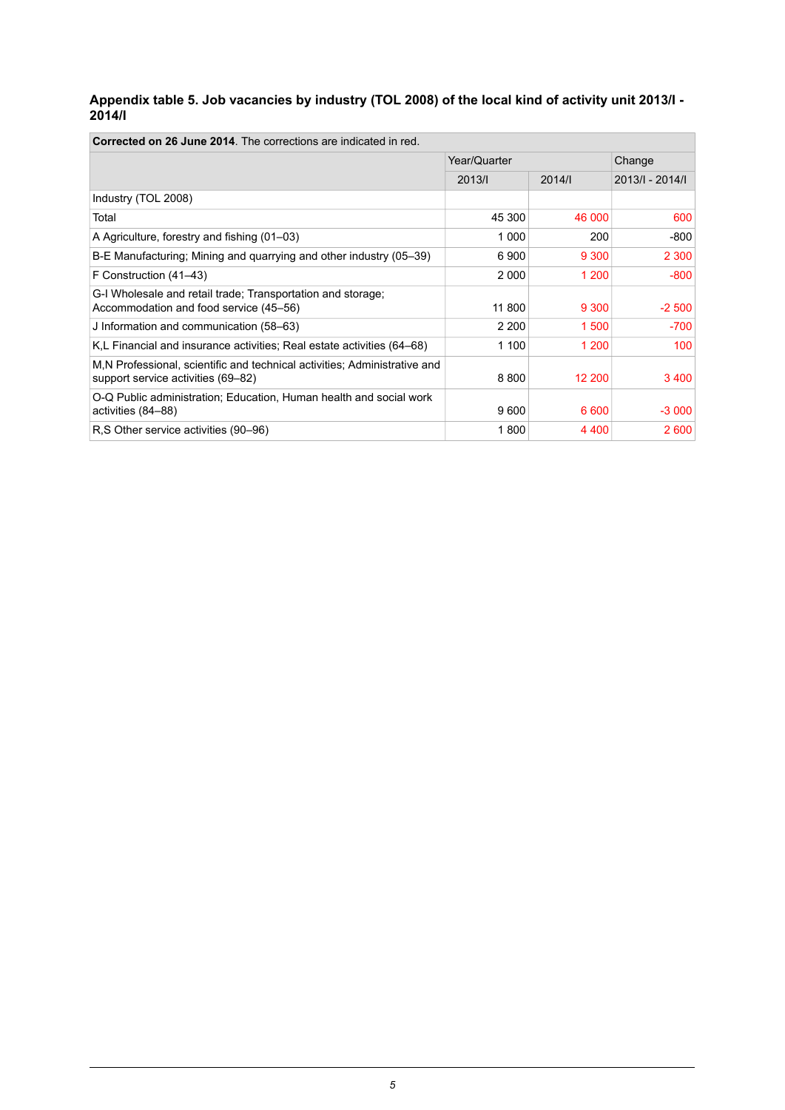#### <span id="page-4-0"></span>**Appendix table 5. Job vacancies by industry (TOL 2008) of the local kind of activity unit 2013/I - 2014/I**

h

| <b>Corrected on 26 June 2014</b> . The corrections are indicated in red.                                        |              |         |                 |  |
|-----------------------------------------------------------------------------------------------------------------|--------------|---------|-----------------|--|
|                                                                                                                 | Year/Quarter |         | Change          |  |
|                                                                                                                 | 2013/1       | 2014/1  | 2013/1 - 2014/1 |  |
| Industry (TOL 2008)                                                                                             |              |         |                 |  |
| Total                                                                                                           | 45 300       | 46 000  | 600             |  |
| A Agriculture, forestry and fishing (01–03)                                                                     | 1 000        | 200     | -800            |  |
| B-E Manufacturing; Mining and quarrying and other industry (05–39)                                              | 6 900        | 9 3 0 0 | 2 3 0 0         |  |
| F Construction (41–43)                                                                                          | 2 0 0 0      | 1 200   | -800            |  |
| G-I Wholesale and retail trade; Transportation and storage;<br>Accommodation and food service (45–56)           | 11 800       | 9 3 0 0 | $-2500$         |  |
| J Information and communication (58–63)                                                                         | 2 2 0 0      | 1 500   | -700            |  |
| K,L Financial and insurance activities; Real estate activities (64–68)                                          | 1 100        | 1 200   | 100             |  |
| M.N Professional, scientific and technical activities; Administrative and<br>support service activities (69–82) | 8800         | 12 200  | 3400            |  |
| O-Q Public administration; Education, Human health and social work<br>activities (84–88)                        | 9600         | 6 600   | $-3000$         |  |
| R,S Other service activities (90–96)                                                                            | 1800         | 4 4 0 0 | 2 600           |  |

**Corrected on 26 June 2014**. The corrections are indicated in red.